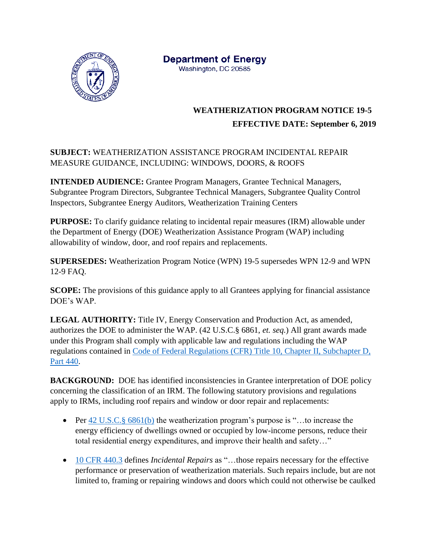

**Department of Energy** Washington, DC 20585

## **WEATHERIZATION PROGRAM NOTICE 19-5 EFFECTIVE DATE: September 6, 2019**

## **SUBJECT:** WEATHERIZATION ASSISTANCE PROGRAM INCIDENTAL REPAIR MEASURE GUIDANCE, INCLUDING: WINDOWS, DOORS, & ROOFS

**INTENDED AUDIENCE:** Grantee Program Managers, Grantee Technical Managers, Subgrantee Program Directors, Subgrantee Technical Managers, Subgrantee Quality Control Inspectors, Subgrantee Energy Auditors, Weatherization Training Centers

**PURPOSE:** To clarify guidance relating to incidental repair measures (IRM) allowable under the Department of Energy (DOE) Weatherization Assistance Program (WAP) including allowability of window, door, and roof repairs and replacements.

**SUPERSEDES:** Weatherization Program Notice (WPN) 19-5 supersedes WPN 12-9 and WPN 12-9 FAQ.

**SCOPE:** The provisions of this guidance apply to all Grantees applying for financial assistance DOE's WAP.

**LEGAL AUTHORITY:** Title IV, Energy Conservation and Production Act, as amended, authorizes the DOE to administer the WAP. (42 U.S.C.§ 6861, *et. seq.*) All grant awards made under this Program shall comply with applicable law and regulations including the WAP regulations contained in [Code of Federal Regulations \(CFR\) Title 10, Chapter II, Subchapter D,](https://www.ecfr.gov/cgi-bin/text-idx?SID=5ae5e198ca6320012e514738566164e6&mc=true&node=pt10.3.440&rgn=div5)  [Part 440.](https://www.ecfr.gov/cgi-bin/text-idx?SID=5ae5e198ca6320012e514738566164e6&mc=true&node=pt10.3.440&rgn=div5)

**BACKGROUND:** DOE has identified inconsistencies in Grantee interpretation of DOE policy concerning the classification of an IRM. The following statutory provisions and regulations apply to IRMs, including roof repairs and window or door repair and replacements:

- Per  $42 \text{ U.S.C.}$ § 6861(b) the weatherization program's purpose is "...to increase the energy efficiency of dwellings owned or occupied by low-income persons, reduce their total residential energy expenditures, and improve their health and safety…"
- [10 CFR 440.3](https://www.ecfr.gov/cgi-bin/text-idx?SID=5ae5e198ca6320012e514738566164e6&mc=true&node=pt10.3.440&rgn=div5#se10.3.440_13) defines *Incidental Repairs* as "…those repairs necessary for the effective performance or preservation of weatherization materials. Such repairs include, but are not limited to, framing or repairing windows and doors which could not otherwise be caulked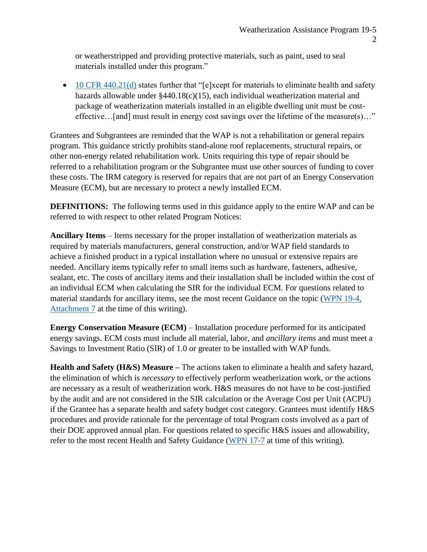or weatherstripped and providing protective materials, such as paint, used to seal materials installed under this program."

 $\bullet$  [10 CFR 440.21\(d\)](https://www.ecfr.gov/cgi-bin/text-idx?SID=5ae5e198ca6320012e514738566164e6&mc=true&node=pt10.3.440&rgn=div5#se10.3.440_121) states further that "[e]xcept for materials to eliminate health and safety hazards allowable under §440.18(c)(15), each individual weatherization material and package of weatherization materials installed in an eligible dwelling unit must be costeffective…[and] must result in energy cost savings over the lifetime of the measure(s)…"

Grantees and Subgrantees are reminded that the WAP is not a rehabilitation or general repairs program. This guidance strictly prohibits stand-alone roof replacements, structural repairs, or other non-energy related rehabilitation work. Units requiring this type of repair should be referred to a rehabilitation program or the Subgrantee must use other sources of funding to cover these costs. The IRM category is reserved for repairs that are not part of an Energy Conservation Measure (ECM), but are necessary to protect a newly installed ECM.

**DEFINITIONS:** The following terms used in this guidance apply to the entire WAP and can be referred to with respect to other related Program Notices:

**Ancillary Items** – Items necessary for the proper installation of weatherization materials as required by materials manufacturers, general construction, and/or WAP field standards to achieve a finished product in a typical installation where no unusual or extensive repairs are needed. Ancillary items typically refer to small items such as hardware, fasteners, adhesive, sealant, etc. The costs of ancillary items and their installation shall be included within the cost of an individual ECM when calculating the SIR for the individual ECM. For questions related to material standards for ancillary items, see the most recent Guidance on the topic [\(WPN 19-4,](https://www.energy.gov/sites/prod/files/2019/04/f61/wpn-19-4-attachments.pdf)  [Attachment 7](https://www.energy.gov/sites/prod/files/2019/04/f61/wpn-19-4-attachments.pdf) at the time of this writing).

**Energy Conservation Measure (ECM)** – Installation procedure performed for its anticipated energy savings. ECM costs must include all material, labor, and *ancillary items* and must meet a Savings to Investment Ratio (SIR) of 1.0 or greater to be installed with WAP funds.

**Health and Safety (H&S) Measure –** The actions taken to eliminate a health and safety hazard, the elimination of which is *necessary* to effectively perform weatherization work, *or* the actions are necessary as a result of weatherization work. H&S measures do not have to be cost-justified by the audit and are not considered in the SIR calculation or the Average Cost per Unit (ACPU) if the Grantee has a separate health and safety budget cost category. Grantees must identify H&S procedures and provide rationale for the percentage of total Program costs involved as a part of their DOE approved annual plan. For questions related to specific H&S issues and allowability, refer to the most recent Health and Safety Guidance [\(WPN 17-7](https://www.energy.gov/eere/wipo/downloads/wpn-17-7-weatherization-health-and-safety-guidance) at time of this writing).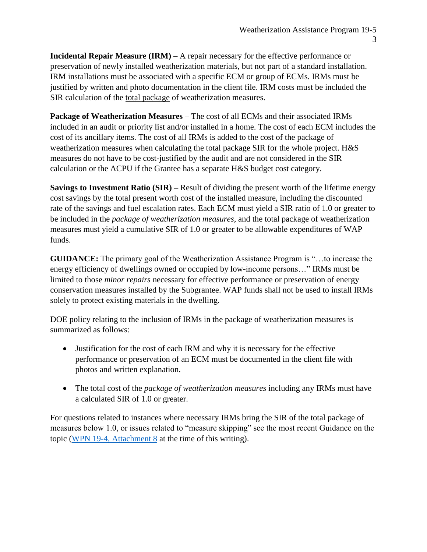**Incidental Repair Measure (IRM)** – A repair necessary for the effective performance or preservation of newly installed weatherization materials, but not part of a standard installation. IRM installations must be associated with a specific ECM or group of ECMs. IRMs must be justified by written and photo documentation in the client file. IRM costs must be included the SIR calculation of the total package of weatherization measures.

**Package of Weatherization Measures** – The cost of all ECMs and their associated IRMs included in an audit or priority list and/or installed in a home. The cost of each ECM includes the cost of its ancillary items. The cost of all IRMs is added to the cost of the package of weatherization measures when calculating the total package SIR for the whole project. H&S measures do not have to be cost-justified by the audit and are not considered in the SIR calculation or the ACPU if the Grantee has a separate H&S budget cost category.

**Savings to Investment Ratio (SIR) –** Result of dividing the present worth of the lifetime energy cost savings by the total present worth cost of the installed measure, including the discounted rate of the savings and fuel escalation rates. Each ECM must yield a SIR ratio of 1.0 or greater to be included in the *package of weatherization measures*, and the total package of weatherization measures must yield a cumulative SIR of 1.0 or greater to be allowable expenditures of WAP funds.

**GUIDANCE:** The primary goal of the Weatherization Assistance Program is "…to increase the energy efficiency of dwellings owned or occupied by low-income persons…" IRMs must be limited to those *minor repairs* necessary for effective performance or preservation of energy conservation measures installed by the Subgrantee. WAP funds shall not be used to install IRMs solely to protect existing materials in the dwelling.

DOE policy relating to the inclusion of IRMs in the package of weatherization measures is summarized as follows:

- Justification for the cost of each IRM and why it is necessary for the effective performance or preservation of an ECM must be documented in the client file with photos and written explanation.
- The total cost of the *package of weatherization measures* including any IRMs must have a calculated SIR of 1.0 or greater.

For questions related to instances where necessary IRMs bring the SIR of the total package of measures below 1.0, or issues related to "measure skipping" see the most recent Guidance on the topic [\(WPN 19-4, Attachment 8](https://www.energy.gov/sites/prod/files/2019/04/f61/wpn-19-4-attachments.pdf) at the time of this writing).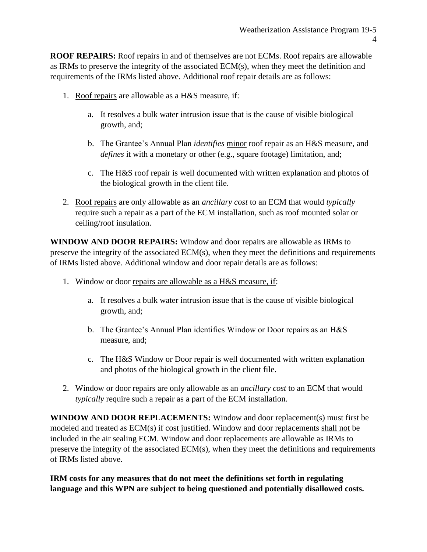**ROOF REPAIRS:** Roof repairs in and of themselves are not ECMs. Roof repairs are allowable as IRMs to preserve the integrity of the associated ECM(s), when they meet the definition and requirements of the IRMs listed above. Additional roof repair details are as follows:

- 1. Roof repairs are allowable as a H&S measure, if:
	- a. It resolves a bulk water intrusion issue that is the cause of visible biological growth, and;
	- b. The Grantee's Annual Plan *identifies* minor roof repair as an H&S measure, and *defines* it with a monetary or other (e.g., square footage) limitation, and;
	- c. The H&S roof repair is well documented with written explanation and photos of the biological growth in the client file.
- 2. Roof repairs are only allowable as an *ancillary cost* to an ECM that would *typically* require such a repair as a part of the ECM installation, such as roof mounted solar or ceiling/roof insulation.

**WINDOW AND DOOR REPAIRS:** Window and door repairs are allowable as IRMs to preserve the integrity of the associated ECM(s), when they meet the definitions and requirements of IRMs listed above. Additional window and door repair details are as follows:

- 1. Window or door repairs are allowable as a H&S measure, if:
	- a. It resolves a bulk water intrusion issue that is the cause of visible biological growth, and;
	- b. The Grantee's Annual Plan identifies Window or Door repairs as an H&S measure, and;
	- c. The H&S Window or Door repair is well documented with written explanation and photos of the biological growth in the client file.
- 2. Window or door repairs are only allowable as an *ancillary cost* to an ECM that would *typically* require such a repair as a part of the ECM installation.

**WINDOW AND DOOR REPLACEMENTS:** Window and door replacement(s) must first be modeled and treated as ECM(s) if cost justified. Window and door replacements shall not be included in the air sealing ECM. Window and door replacements are allowable as IRMs to preserve the integrity of the associated ECM(s), when they meet the definitions and requirements of IRMs listed above.

**IRM costs for any measures that do not meet the definitions set forth in regulating language and this WPN are subject to being questioned and potentially disallowed costs.**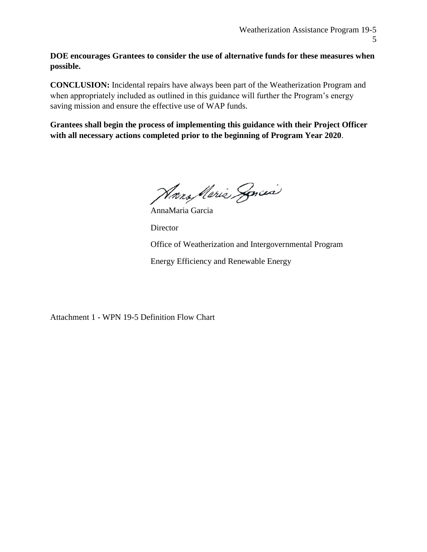**DOE encourages Grantees to consider the use of alternative funds for these measures when possible.**

**CONCLUSION:** Incidental repairs have always been part of the Weatherization Program and when appropriately included as outlined in this guidance will further the Program's energy saving mission and ensure the effective use of WAP funds.

**Grantees shall begin the process of implementing this guidance with their Project Officer with all necessary actions completed prior to the beginning of Program Year 2020**.

Harry Nerie Soncia

AnnaMaria Garcia **Director** Office of Weatherization and Intergovernmental Program Energy Efficiency and Renewable Energy

Attachment 1 - WPN 19-5 Definition Flow Chart